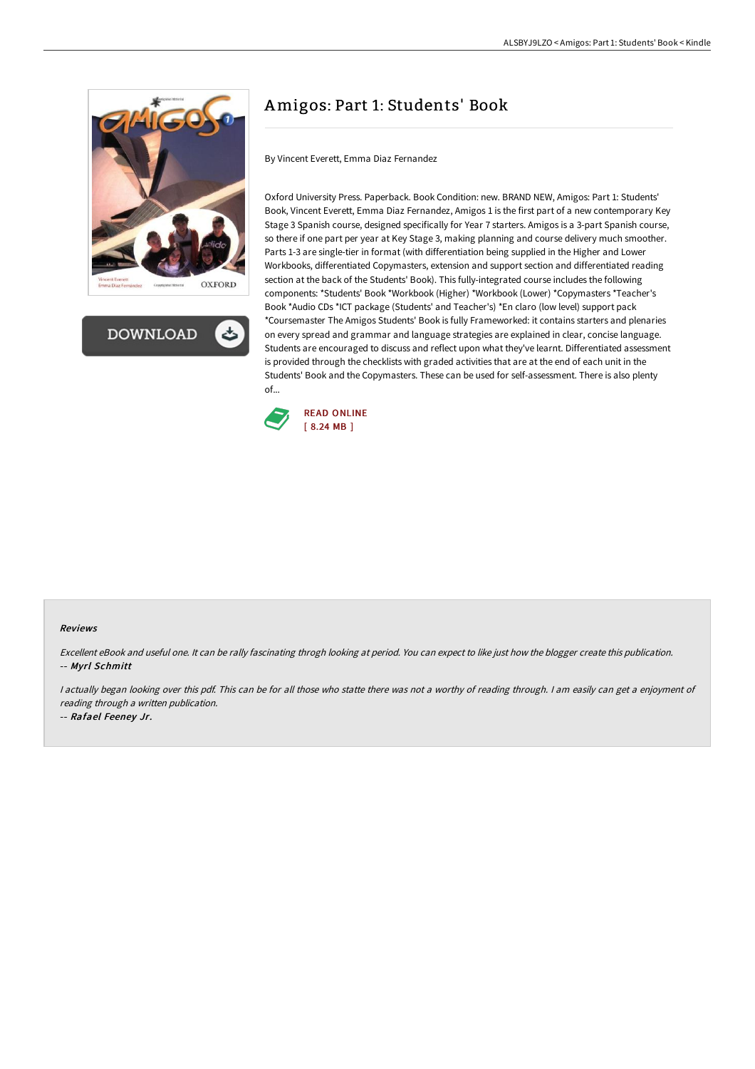



# Amigos: Part 1: Students' Book

By Vincent Everett, Emma Diaz Fernandez

Oxford University Press. Paperback. Book Condition: new. BRAND NEW, Amigos: Part 1: Students' Book, Vincent Everett, Emma Diaz Fernandez, Amigos 1 is the first part of a new contemporary Key Stage 3 Spanish course, designed specifically for Year 7 starters. Amigos is a 3-part Spanish course, so there if one part per year at Key Stage 3, making planning and course delivery much smoother. Parts 1-3 are single-tier in format (with differentiation being supplied in the Higher and Lower Workbooks, differentiated Copymasters, extension and support section and differentiated reading section at the back of the Students' Book). This fully-integrated course includes the following components: \*Students' Book \*Workbook (Higher) \*Workbook (Lower) \*Copymasters \*Teacher's Book \*Audio CDs \*ICT package (Students' and Teacher's) \*En claro (low level) support pack \*Coursemaster The Amigos Students' Book is fully Frameworked: it contains starters and plenaries on every spread and grammar and language strategies are explained in clear, concise language. Students are encouraged to discuss and reflect upon what they've learnt. Differentiated assessment is provided through the checklists with graded activities that are at the end of each unit in the Students' Book and the Copymasters. These can be used for self-assessment. There is also plenty of...



#### Reviews

Excellent eBook and useful one. It can be rally fascinating throgh looking at period. You can expect to like just how the blogger create this publication. -- Myrl Schmitt

<sup>I</sup> actually began looking over this pdf. This can be for all those who statte there was not <sup>a</sup> worthy of reading through. <sup>I</sup> am easily can get <sup>a</sup> enjoyment of reading through <sup>a</sup> written publication.

-- Rafael Feeney Jr.